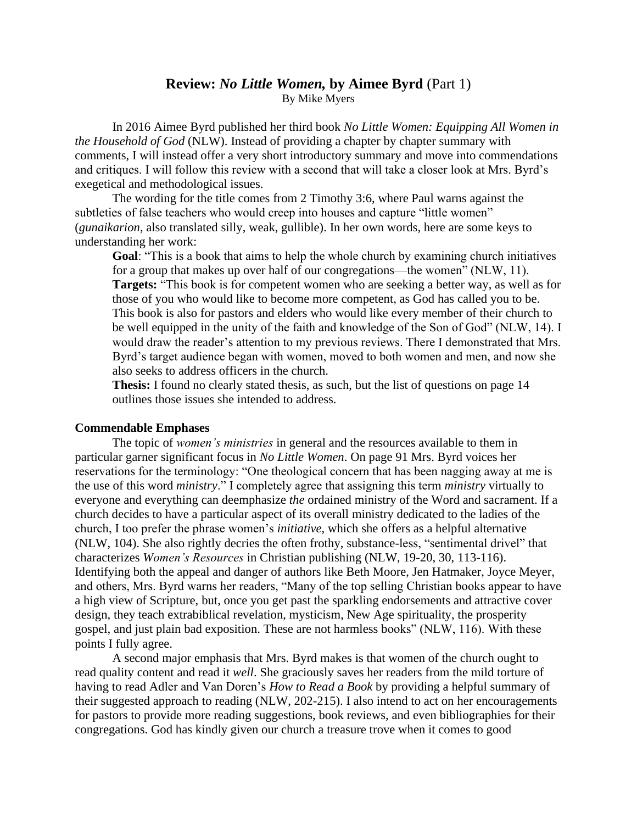# **Review:** *No Little Women,* **by Aimee Byrd** (Part 1) By Mike Myers

In 2016 Aimee Byrd published her third book *No Little Women: Equipping All Women in the Household of God* (NLW). Instead of providing a chapter by chapter summary with comments, I will instead offer a very short introductory summary and move into commendations and critiques. I will follow this review with a second that will take a closer look at Mrs. Byrd's exegetical and methodological issues.

The wording for the title comes from 2 Timothy 3:6, where Paul warns against the subtleties of false teachers who would creep into houses and capture "little women" (*gunaikarion*, also translated silly, weak, gullible). In her own words, here are some keys to understanding her work:

**Goal**: "This is a book that aims to help the whole church by examining church initiatives for a group that makes up over half of our congregations—the women" (NLW, 11). **Targets:** "This book is for competent women who are seeking a better way, as well as for those of you who would like to become more competent, as God has called you to be. This book is also for pastors and elders who would like every member of their church to be well equipped in the unity of the faith and knowledge of the Son of God" (NLW, 14). I would draw the reader's attention to my previous reviews. There I demonstrated that Mrs. Byrd's target audience began with women, moved to both women and men, and now she also seeks to address officers in the church.

**Thesis:** I found no clearly stated thesis, as such, but the list of questions on page 14 outlines those issues she intended to address.

### **Commendable Emphases**

The topic of *women's ministries* in general and the resources available to them in particular garner significant focus in *No Little Women*. On page 91 Mrs. Byrd voices her reservations for the terminology: "One theological concern that has been nagging away at me is the use of this word *ministry*." I completely agree that assigning this term *ministry* virtually to everyone and everything can deemphasize *the* ordained ministry of the Word and sacrament. If a church decides to have a particular aspect of its overall ministry dedicated to the ladies of the church, I too prefer the phrase women's *initiative,* which she offers as a helpful alternative (NLW, 104). She also rightly decries the often frothy, substance-less, "sentimental drivel" that characterizes *Women's Resources* in Christian publishing (NLW, 19-20, 30, 113-116). Identifying both the appeal and danger of authors like Beth Moore, Jen Hatmaker, Joyce Meyer, and others, Mrs. Byrd warns her readers, "Many of the top selling Christian books appear to have a high view of Scripture, but, once you get past the sparkling endorsements and attractive cover design, they teach extrabiblical revelation, mysticism, New Age spirituality, the prosperity gospel, and just plain bad exposition. These are not harmless books" (NLW, 116). With these points I fully agree.

A second major emphasis that Mrs. Byrd makes is that women of the church ought to read quality content and read it *well*. She graciously saves her readers from the mild torture of having to read Adler and Van Doren's *How to Read a Book* by providing a helpful summary of their suggested approach to reading (NLW, 202-215). I also intend to act on her encouragements for pastors to provide more reading suggestions, book reviews, and even bibliographies for their congregations. God has kindly given our church a treasure trove when it comes to good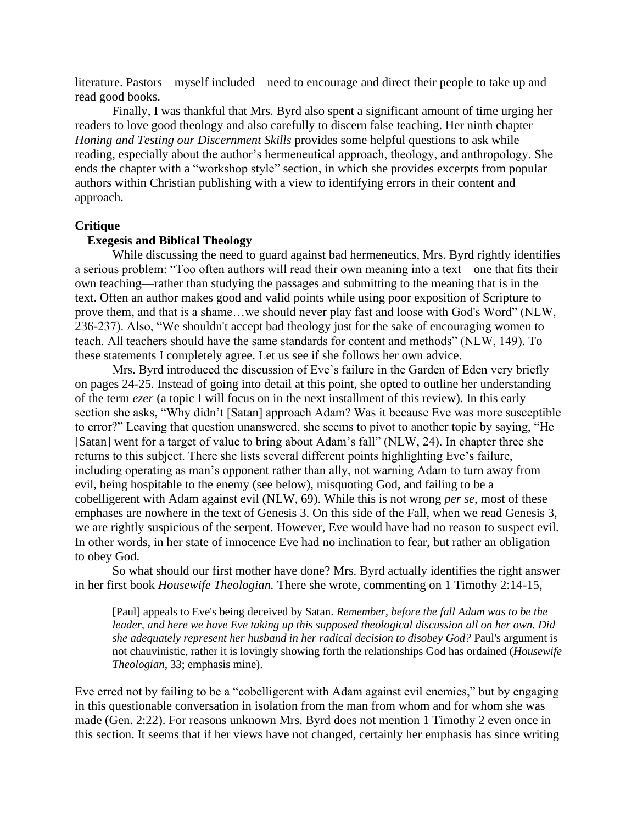literature. Pastors—myself included—need to encourage and direct their people to take up and read good books.

Finally, I was thankful that Mrs. Byrd also spent a significant amount of time urging her readers to love good theology and also carefully to discern false teaching. Her ninth chapter *Honing and Testing our Discernment Skills* provides some helpful questions to ask while reading, especially about the author's hermeneutical approach, theology, and anthropology. She ends the chapter with a "workshop style" section, in which she provides excerpts from popular authors within Christian publishing with a view to identifying errors in their content and approach.

### **Critique**

## **Exegesis and Biblical Theology**

While discussing the need to guard against bad hermeneutics, Mrs. Byrd rightly identifies a serious problem: "Too often authors will read their own meaning into a text—one that fits their own teaching—rather than studying the passages and submitting to the meaning that is in the text. Often an author makes good and valid points while using poor exposition of Scripture to prove them, and that is a shame…we should never play fast and loose with God's Word" (NLW, 236-237). Also, "We shouldn't accept bad theology just for the sake of encouraging women to teach. All teachers should have the same standards for content and methods" (NLW, 149). To these statements I completely agree. Let us see if she follows her own advice.

Mrs. Byrd introduced the discussion of Eve's failure in the Garden of Eden very briefly on pages 24-25. Instead of going into detail at this point, she opted to outline her understanding of the term *ezer* (a topic I will focus on in the next installment of this review). In this early section she asks, "Why didn't [Satan] approach Adam? Was it because Eve was more susceptible to error?" Leaving that question unanswered, she seems to pivot to another topic by saying, "He [Satan] went for a target of value to bring about Adam's fall" (NLW, 24). In chapter three she returns to this subject. There she lists several different points highlighting Eve's failure, including operating as man's opponent rather than ally, not warning Adam to turn away from evil, being hospitable to the enemy (see below), misquoting God, and failing to be a cobelligerent with Adam against evil (NLW, 69). While this is not wrong *per se*, most of these emphases are nowhere in the text of Genesis 3. On this side of the Fall, when we read Genesis 3, we are rightly suspicious of the serpent. However, Eve would have had no reason to suspect evil. In other words, in her state of innocence Eve had no inclination to fear, but rather an obligation to obey God.

So what should our first mother have done? Mrs. Byrd actually identifies the right answer in her first book *Housewife Theologian.* There she wrote, commenting on 1 Timothy 2:14-15,

[Paul] appeals to Eve's being deceived by Satan. *Remember, before the fall Adam was to be the leader, and here we have Eve taking up this supposed theological discussion all on her own. Did she adequately represent her husband in her radical decision to disobey God?* Paul's argument is not chauvinistic, rather it is lovingly showing forth the relationships God has ordained (*Housewife Theologian*, 33; emphasis mine).

Eve erred not by failing to be a "cobelligerent with Adam against evil enemies," but by engaging in this questionable conversation in isolation from the man from whom and for whom she was made (Gen. 2:22). For reasons unknown Mrs. Byrd does not mention 1 Timothy 2 even once in this section. It seems that if her views have not changed, certainly her emphasis has since writing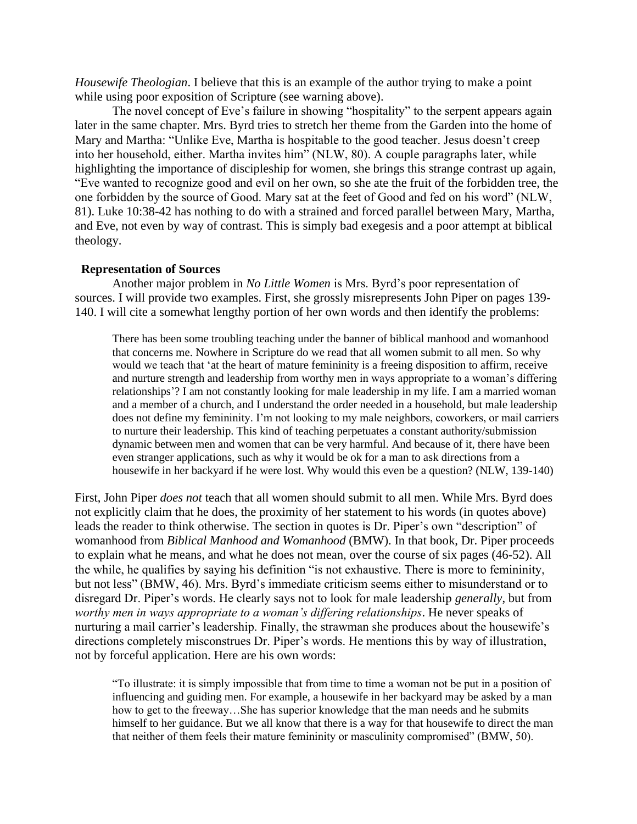*Housewife Theologian*. I believe that this is an example of the author trying to make a point while using poor exposition of Scripture (see warning above).

The novel concept of Eve's failure in showing "hospitality" to the serpent appears again later in the same chapter. Mrs. Byrd tries to stretch her theme from the Garden into the home of Mary and Martha: "Unlike Eve, Martha is hospitable to the good teacher. Jesus doesn't creep into her household, either. Martha invites him" (NLW, 80). A couple paragraphs later, while highlighting the importance of discipleship for women, she brings this strange contrast up again, "Eve wanted to recognize good and evil on her own, so she ate the fruit of the forbidden tree, the one forbidden by the source of Good. Mary sat at the feet of Good and fed on his word" (NLW, 81). Luke 10:38-42 has nothing to do with a strained and forced parallel between Mary, Martha, and Eve, not even by way of contrast. This is simply bad exegesis and a poor attempt at biblical theology.

## **Representation of Sources**

Another major problem in *No Little Women* is Mrs. Byrd's poor representation of sources. I will provide two examples. First, she grossly misrepresents John Piper on pages 139- 140. I will cite a somewhat lengthy portion of her own words and then identify the problems:

There has been some troubling teaching under the banner of biblical manhood and womanhood that concerns me. Nowhere in Scripture do we read that all women submit to all men. So why would we teach that 'at the heart of mature femininity is a freeing disposition to affirm, receive and nurture strength and leadership from worthy men in ways appropriate to a woman's differing relationships'? I am not constantly looking for male leadership in my life. I am a married woman and a member of a church, and I understand the order needed in a household, but male leadership does not define my femininity. I'm not looking to my male neighbors, coworkers, or mail carriers to nurture their leadership. This kind of teaching perpetuates a constant authority/submission dynamic between men and women that can be very harmful. And because of it, there have been even stranger applications, such as why it would be ok for a man to ask directions from a housewife in her backyard if he were lost. Why would this even be a question? (NLW, 139-140)

First, John Piper *does not* teach that all women should submit to all men. While Mrs. Byrd does not explicitly claim that he does, the proximity of her statement to his words (in quotes above) leads the reader to think otherwise. The section in quotes is Dr. Piper's own "description" of womanhood from *Biblical Manhood and Womanhood* (BMW). In that book, Dr. Piper proceeds to explain what he means, and what he does not mean, over the course of six pages (46-52). All the while, he qualifies by saying his definition "is not exhaustive. There is more to femininity, but not less" (BMW, 46). Mrs. Byrd's immediate criticism seems either to misunderstand or to disregard Dr. Piper's words. He clearly says not to look for male leadership *generally*, but from *worthy men in ways appropriate to a woman's differing relationships*. He never speaks of nurturing a mail carrier's leadership. Finally, the strawman she produces about the housewife's directions completely misconstrues Dr. Piper's words. He mentions this by way of illustration, not by forceful application. Here are his own words:

"To illustrate: it is simply impossible that from time to time a woman not be put in a position of influencing and guiding men. For example, a housewife in her backyard may be asked by a man how to get to the freeway…She has superior knowledge that the man needs and he submits himself to her guidance. But we all know that there is a way for that housewife to direct the man that neither of them feels their mature femininity or masculinity compromised" (BMW, 50).